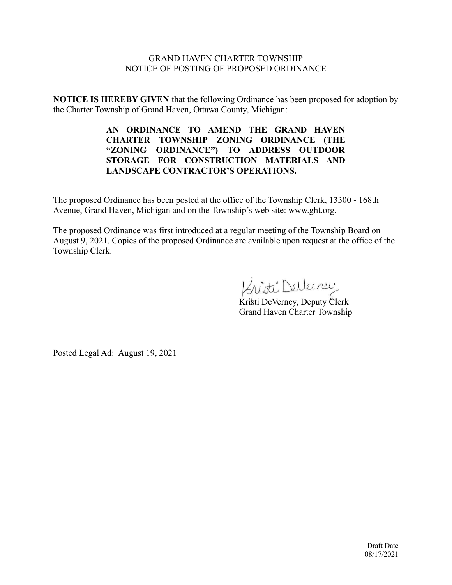# GRAND HAVEN CHARTER TOWNSHIP NOTICE OF POSTING OF PROPOSED ORDINANCE

**NOTICE IS HEREBY GIVEN** that the following Ordinance has been proposed for adoption by the Charter Township of Grand Haven, Ottawa County, Michigan:

> **AN ORDINANCE TO AMEND THE GRAND HAVEN CHARTER TOWNSHIP ZONING ORDINANCE (THE "ZONING ORDINANCE") TO ADDRESS OUTDOOR STORAGE FOR CONSTRUCTION MATERIALS AND LANDSCAPE CONTRACTOR'S OPERATIONS.**

The proposed Ordinance has been posted at the office of the Township Clerk, 13300 - 168th Avenue, Grand Haven, Michigan and on the Township's web site: www.ght.org.

The proposed Ordinance was first introduced at a regular meeting of the Township Board on August 9, 2021. Copies of the proposed Ordinance are available upon request at the office of the Township Clerk.

 $\sim$ 

Kristi DeVerney, Deputy Clerk Grand Haven Charter Township

Posted Legal Ad: August 19, 2021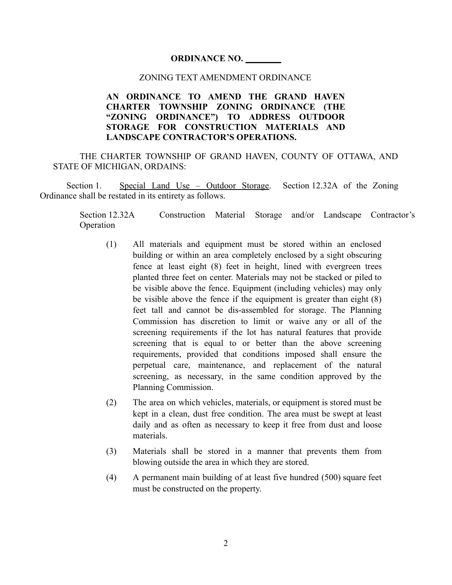### **ORDINANCE NO. \_\_\_\_\_\_\_\_**

### ZONING TEXT AMENDMENT ORDINANCE

# **AN ORDINANCE TO AMEND THE GRAND HAVEN CHARTER TOWNSHIP ZONING ORDINANCE (THE "ZONING ORDINANCE") TO ADDRESS OUTDOOR STORAGE FOR CONSTRUCTION MATERIALS AND LANDSCAPE CONTRACTOR'S OPERATIONS.**

THE CHARTER TOWNSHIP OF GRAND HAVEN, COUNTY OF OTTAWA, AND STATE OF MICHIGAN, ORDAINS:

Section 1. Special Land Use – Outdoor Storage. Section 12.32A of the Zoning Ordinance shall be restated in its entirety as follows.

> Section 12.32A Construction Material Storage and/or Landscape Contractor's Operation

- (1) All materials and equipment must be stored within an enclosed building or within an area completely enclosed by a sight obscuring fence at least eight (8) feet in height, lined with evergreen trees planted three feet on center. Materials may not be stacked or piled to be visible above the fence. Equipment (including vehicles) may only be visible above the fence if the equipment is greater than eight (8) feet tall and cannot be dis-assembled for storage. The Planning Commission has discretion to limit or waive any or all of the screening requirements if the lot has natural features that provide screening that is equal to or better than the above screening requirements, provided that conditions imposed shall ensure the perpetual care, maintenance, and replacement of the natural screening, as necessary, in the same condition approved by the Planning Commission.
- (2) The area on which vehicles, materials, or equipment is stored must be kept in a clean, dust free condition. The area must be swept at least daily and as often as necessary to keep it free from dust and loose materials.
- (3) Materials shall be stored in a manner that prevents them from blowing outside the area in which they are stored.
- (4) A permanent main building of at least five hundred (500) square feet must be constructed on the property.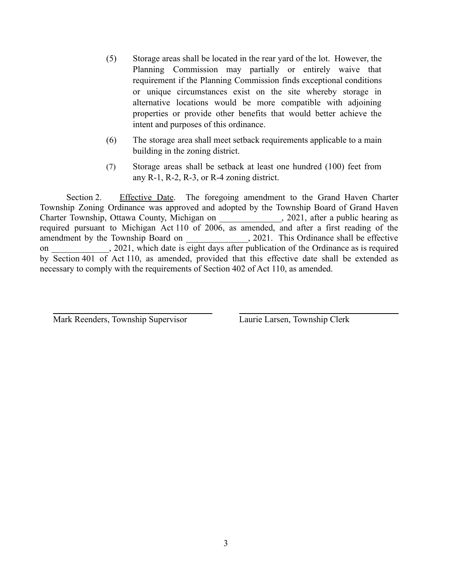- (5) Storage areas shall be located in the rear yard of the lot. However, the Planning Commission may partially or entirely waive that requirement if the Planning Commission finds exceptional conditions or unique circumstances exist on the site whereby storage in alternative locations would be more compatible with adjoining properties or provide other benefits that would better achieve the intent and purposes of this ordinance.
- (6) The storage area shall meet setback requirements applicable to a main building in the zoning district.
- (7) Storage areas shall be setback at least one hundred (100) feet from any R-1, R-2, R-3, or R-4 zoning district.

Section 2. Effective Date. The foregoing amendment to the Grand Haven Charter Township Zoning Ordinance was approved and adopted by the Township Board of Grand Haven Charter Township, Ottawa County, Michigan on \_\_\_\_\_\_\_\_\_\_\_\_\_\_, 2021, after a public hearing as required pursuant to Michigan Act 110 of 2006, as amended, and after a first reading of the amendment by the Township Board on \_\_\_\_\_\_\_\_\_\_\_\_\_, 2021. This Ordinance shall be effective on 2021, which date is eight days after publication of the Ordinance as is required by Section 401 of Act 110, as amended, provided that this effective date shall be extended as necessary to comply with the requirements of Section 402 of Act 110, as amended.

Mark Reenders, Township Supervisor Laurie Larsen, Township Clerk